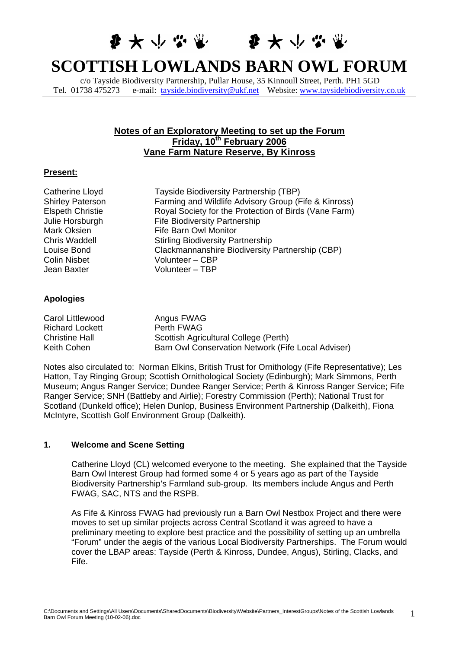李大小心堂 李大小心堂

# **SCOTTISH LOWLANDS BARN OWL FORUM**

c/o Tayside Biodiversity Partnership, Pullar House, 35 Kinnoull Street, Perth. PH1 5GD Tel. 01738 475273 e-mail: [tayside.biodiversity@ukf.net](mailto:tayside.biodiversity@ukf.net) Website: [www.taysidebiodiversity.co.uk](http://www.taysidebiodiversity.co.uk/)

# **Notes of an Exploratory Meeting to set up the Forum Friday, 10th February 2006 Vane Farm Nature Reserve, By Kinross**

#### **Present:**

| Catherine Lloyd         | Tayside Biodiversity Partnership (TBP)                |
|-------------------------|-------------------------------------------------------|
| <b>Shirley Paterson</b> | Farming and Wildlife Advisory Group (Fife & Kinross)  |
| <b>Elspeth Christie</b> | Royal Society for the Protection of Birds (Vane Farm) |
| Julie Horsburgh         | <b>Fife Biodiversity Partnership</b>                  |
| Mark Oksien             | <b>Fife Barn Owl Monitor</b>                          |
| Chris Waddell           | <b>Stirling Biodiversity Partnership</b>              |
| Louise Bond             | Clackmannanshire Biodiversity Partnership (CBP)       |
| Colin Nisbet            | Volunteer - CBP                                       |
| Jean Baxter             | Volunteer - TBP                                       |
|                         |                                                       |
| .                       |                                                       |

#### **Apologies**

| Carol Littlewood       | Angus FWAG                                         |
|------------------------|----------------------------------------------------|
| <b>Richard Lockett</b> | Perth FWAG                                         |
| <b>Christine Hall</b>  | Scottish Agricultural College (Perth)              |
| Keith Cohen            | Barn Owl Conservation Network (Fife Local Adviser) |

Notes also circulated to: Norman Elkins, British Trust for Ornithology (Fife Representative); Les Hatton, Tay Ringing Group; Scottish Ornithological Society (Edinburgh); Mark Simmons, Perth Museum; Angus Ranger Service; Dundee Ranger Service; Perth & Kinross Ranger Service; Fife Ranger Service; SNH (Battleby and Airlie); Forestry Commission (Perth); National Trust for Scotland (Dunkeld office); Helen Dunlop, Business Environment Partnership (Dalkeith), Fiona McIntyre, Scottish Golf Environment Group (Dalkeith).

# **1. Welcome and Scene Setting**

Catherine Lloyd (CL) welcomed everyone to the meeting. She explained that the Tayside Barn Owl Interest Group had formed some 4 or 5 years ago as part of the Tayside Biodiversity Partnership's Farmland sub-group. Its members include Angus and Perth FWAG, SAC, NTS and the RSPB.

As Fife & Kinross FWAG had previously run a Barn Owl Nestbox Project and there were moves to set up similar projects across Central Scotland it was agreed to have a preliminary meeting to explore best practice and the possibility of setting up an umbrella "Forum" under the aegis of the various Local Biodiversity Partnerships. The Forum would cover the LBAP areas: Tayside (Perth & Kinross, Dundee, Angus), Stirling, Clacks, and Fife.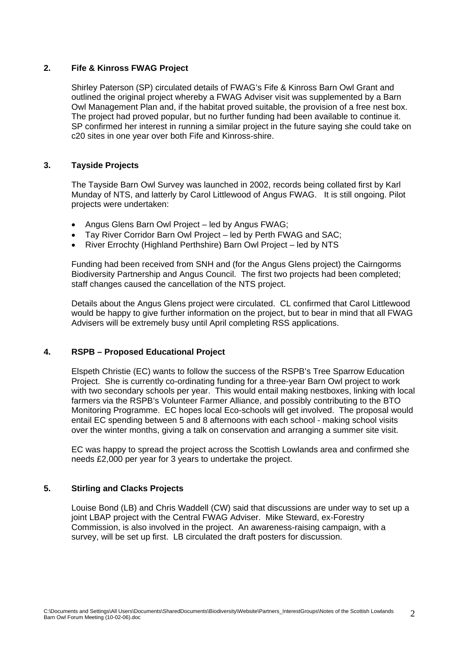#### **2. Fife & Kinross FWAG Project**

Shirley Paterson (SP) circulated details of FWAG's Fife & Kinross Barn Owl Grant and outlined the original project whereby a FWAG Adviser visit was supplemented by a Barn Owl Management Plan and, if the habitat proved suitable, the provision of a free nest box. The project had proved popular, but no further funding had been available to continue it. SP confirmed her interest in running a similar project in the future saying she could take on c20 sites in one year over both Fife and Kinross-shire.

## **3. Tayside Projects**

The Tayside Barn Owl Survey was launched in 2002, records being collated first by Karl Munday of NTS, and latterly by Carol Littlewood of Angus FWAG. It is still ongoing. Pilot projects were undertaken:

- Angus Glens Barn Owl Project led by Angus FWAG;
- Tay River Corridor Barn Owl Project led by Perth FWAG and SAC;
- River Errochty (Highland Perthshire) Barn Owl Project led by NTS

Funding had been received from SNH and (for the Angus Glens project) the Cairngorms Biodiversity Partnership and Angus Council. The first two projects had been completed; staff changes caused the cancellation of the NTS project.

Details about the Angus Glens project were circulated. CL confirmed that Carol Littlewood would be happy to give further information on the project, but to bear in mind that all FWAG Advisers will be extremely busy until April completing RSS applications.

## **4. RSPB – Proposed Educational Project**

Elspeth Christie (EC) wants to follow the success of the RSPB's Tree Sparrow Education Project. She is currently co-ordinating funding for a three-year Barn Owl project to work with two secondary schools per year. This would entail making nestboxes, linking with local farmers via the RSPB's Volunteer Farmer Alliance, and possibly contributing to the BTO Monitoring Programme. EC hopes local Eco-schools will get involved. The proposal would entail EC spending between 5 and 8 afternoons with each school - making school visits over the winter months, giving a talk on conservation and arranging a summer site visit.

EC was happy to spread the project across the Scottish Lowlands area and confirmed she needs £2,000 per year for 3 years to undertake the project.

# **5. Stirling and Clacks Projects**

Louise Bond (LB) and Chris Waddell (CW) said that discussions are under way to set up a joint LBAP project with the Central FWAG Adviser. Mike Steward, ex-Forestry Commission, is also involved in the project. An awareness-raising campaign, with a survey, will be set up first. LB circulated the draft posters for discussion.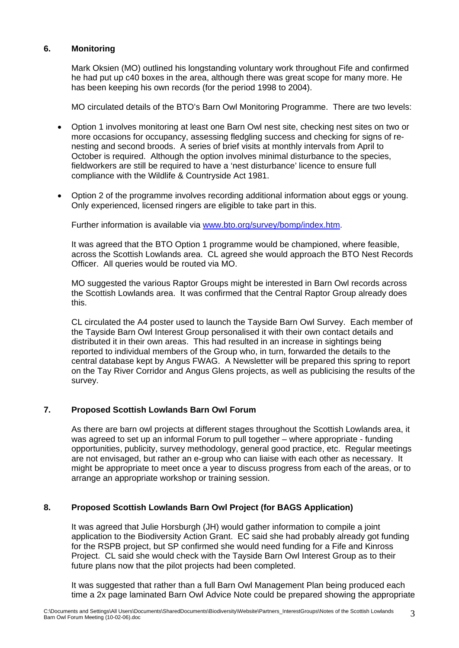# **6. Monitoring**

Mark Oksien (MO) outlined his longstanding voluntary work throughout Fife and confirmed he had put up c40 boxes in the area, although there was great scope for many more. He has been keeping his own records (for the period 1998 to 2004).

MO circulated details of the BTO's Barn Owl Monitoring Programme. There are two levels:

- Option 1 involves monitoring at least one Barn Owl nest site, checking nest sites on two or more occasions for occupancy, assessing fledgling success and checking for signs of renesting and second broods. A series of brief visits at monthly intervals from April to October is required. Although the option involves minimal disturbance to the species, fieldworkers are still be required to have a 'nest disturbance' licence to ensure full compliance with the Wildlife & Countryside Act 1981.
- Option 2 of the programme involves recording additional information about eggs or young. Only experienced, licensed ringers are eligible to take part in this.

Further information is available via [www.bto.org/survey/bomp/index.htm](http://www.bto.org/survey/bomp/index.htm).

It was agreed that the BTO Option 1 programme would be championed, where feasible, across the Scottish Lowlands area. CL agreed she would approach the BTO Nest Records Officer. All queries would be routed via MO.

MO suggested the various Raptor Groups might be interested in Barn Owl records across the Scottish Lowlands area. It was confirmed that the Central Raptor Group already does this.

CL circulated the A4 poster used to launch the Tayside Barn Owl Survey. Each member of the Tayside Barn Owl Interest Group personalised it with their own contact details and distributed it in their own areas. This had resulted in an increase in sightings being reported to individual members of the Group who, in turn, forwarded the details to the central database kept by Angus FWAG. A Newsletter will be prepared this spring to report on the Tay River Corridor and Angus Glens projects, as well as publicising the results of the survey.

## **7. Proposed Scottish Lowlands Barn Owl Forum**

As there are barn owl projects at different stages throughout the Scottish Lowlands area, it was agreed to set up an informal Forum to pull together – where appropriate - funding opportunities, publicity, survey methodology, general good practice, etc. Regular meetings are not envisaged, but rather an e-group who can liaise with each other as necessary. It might be appropriate to meet once a year to discuss progress from each of the areas, or to arrange an appropriate workshop or training session.

## **8. Proposed Scottish Lowlands Barn Owl Project (for BAGS Application)**

It was agreed that Julie Horsburgh (JH) would gather information to compile a joint application to the Biodiversity Action Grant. EC said she had probably already got funding for the RSPB project, but SP confirmed she would need funding for a Fife and Kinross Project. CL said she would check with the Tayside Barn Owl Interest Group as to their future plans now that the pilot projects had been completed.

It was suggested that rather than a full Barn Owl Management Plan being produced each time a 2x page laminated Barn Owl Advice Note could be prepared showing the appropriate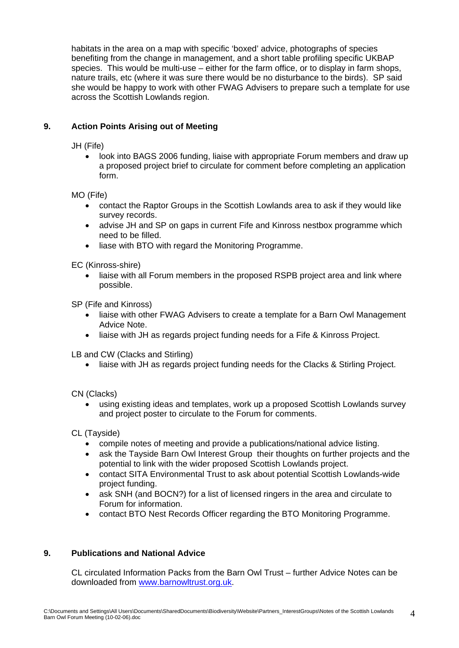habitats in the area on a map with specific 'boxed' advice, photographs of species benefiting from the change in management, and a short table profiling specific UKBAP species. This would be multi-use – either for the farm office, or to display in farm shops, nature trails, etc (where it was sure there would be no disturbance to the birds). SP said she would be happy to work with other FWAG Advisers to prepare such a template for use across the Scottish Lowlands region.

# **9. Action Points Arising out of Meeting**

JH (Fife)

• look into BAGS 2006 funding, liaise with appropriate Forum members and draw up a proposed project brief to circulate for comment before completing an application form.

MO (Fife)

- contact the Raptor Groups in the Scottish Lowlands area to ask if they would like survey records.
- advise JH and SP on gaps in current Fife and Kinross nestbox programme which need to be filled.
- liase with BTO with regard the Monitoring Programme.

EC (Kinross-shire)

• liaise with all Forum members in the proposed RSPB project area and link where possible.

SP (Fife and Kinross)

- liaise with other FWAG Advisers to create a template for a Barn Owl Management Advice Note.
- liaise with JH as regards project funding needs for a Fife & Kinross Project.

LB and CW (Clacks and Stirling)

• liaise with JH as regards project funding needs for the Clacks & Stirling Project.

CN (Clacks)

• using existing ideas and templates, work up a proposed Scottish Lowlands survey and project poster to circulate to the Forum for comments.

CL (Tayside)

- compile notes of meeting and provide a publications/national advice listing.
- ask the Tayside Barn Owl Interest Group their thoughts on further projects and the potential to link with the wider proposed Scottish Lowlands project.
- contact SITA Environmental Trust to ask about potential Scottish Lowlands-wide project funding.
- ask SNH (and BOCN?) for a list of licensed ringers in the area and circulate to Forum for information.
- contact BTO Nest Records Officer regarding the BTO Monitoring Programme.

# **9. Publications and National Advice**

CL circulated Information Packs from the Barn Owl Trust – further Advice Notes can be downloaded from [www.barnowltrust.org.uk.](http://www.barnowltrust.org.uk/)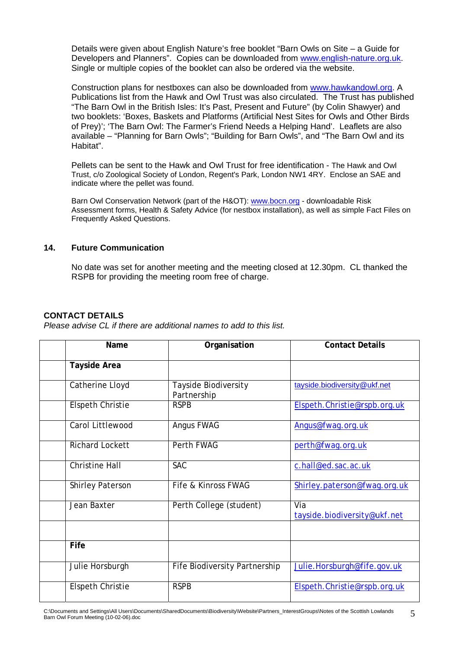Details were given about English Nature's free booklet "Barn Owls on Site – a Guide for Developers and Planners". Copies can be downloaded from [www.english-nature.org.uk](http://www.english-nature.org.uk/). Single or multiple copies of the booklet can also be ordered via the website.

Construction plans for nestboxes can also be downloaded from [www.hawkandowl.org](http://www.hawkandowl.org/). A Publications list from the Hawk and Owl Trust was also circulated. The Trust has published "The Barn Owl in the British Isles: It's Past, Present and Future" (by Colin Shawyer) and two booklets: 'Boxes, Baskets and Platforms (Artificial Nest Sites for Owls and Other Birds of Prey)'; 'The Barn Owl: The Farmer's Friend Needs a Helping Hand'. Leaflets are also available – "Planning for Barn Owls"; "Building for Barn Owls", and "The Barn Owl and its Habitat".

Pellets can be sent to the Hawk and Owl Trust for free identification - The Hawk and Owl Trust, c/o Zoological Society of London, Regent's Park, London NW1 4RY. Enclose an SAE and indicate where the pellet was found.

Barn Owl Conservation Network (part of the H&OT): [www.bocn.org](http://www.bocn.org/) - downloadable Risk Assessment forms, Health & Safety Advice (for nestbox installation), as well as simple Fact Files on Frequently Asked Questions.

#### **14. Future Communication**

No date was set for another meeting and the meeting closed at 12.30pm. CL thanked the RSPB for providing the meeting room free of charge.

#### **CONTACT DETAILS**

*Please advise CL if there are additional names to add to this list.* 

| <b>Name</b>             | Organisation                        | <b>Contact Details</b>              |
|-------------------------|-------------------------------------|-------------------------------------|
| <b>Tayside Area</b>     |                                     |                                     |
| Catherine Lloyd         | Tayside Biodiversity<br>Partnership | tayside.biodiversity@ukf.net        |
| <b>Elspeth Christie</b> | <b>RSPB</b>                         | Elspeth.Christie@rspb.org.uk        |
| Carol Littlewood        | <b>Angus FWAG</b>                   | Angus@fwag.org.uk                   |
| <b>Richard Lockett</b>  | Perth FWAG                          | perth@fwag.org.uk                   |
| <b>Christine Hall</b>   | <b>SAC</b>                          | c.hall@ed.sac.ac.uk                 |
| <b>Shirley Paterson</b> | Fife & Kinross FWAG                 | Shirley.paterson@fwag.org.uk        |
| Jean Baxter             | Perth College (student)             | Via<br>tayside.biodiversity@ukf.net |
|                         |                                     |                                     |
| Fife                    |                                     |                                     |
| Julie Horsburgh         | Fife Biodiversity Partnership       | Julie.Horsburgh@fife.gov.uk         |
| <b>Elspeth Christie</b> | <b>RSPB</b>                         | Elspeth.Christie@rspb.org.uk        |